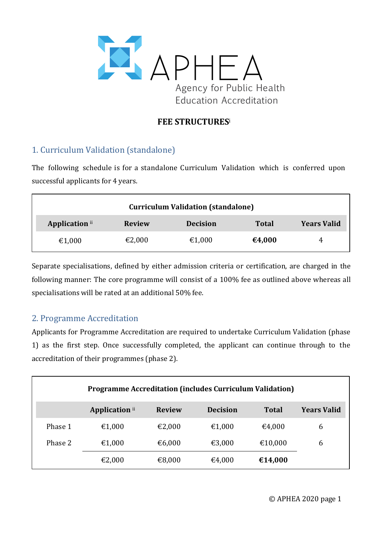

### **FEE STRUCTURES**<sup>i</sup>

## 1. Curriculum Validation (standalone)

The following schedule is for a standalone Curriculum Validation which is conferred upon successful applicants for 4 years.

| <b>Curriculum Validation (standalone)</b> |               |                 |              |                    |  |
|-------------------------------------------|---------------|-----------------|--------------|--------------------|--|
| Application ii                            | <b>Review</b> | <b>Decision</b> | <b>Total</b> | <b>Years Valid</b> |  |
| €1,000                                    | €2,000        | €1,000          | €4,000       | 4                  |  |

Separate specialisations, defined by either admission criteria or certification, are charged in the following manner: The core programme will consist of a 100% fee as outlined above whereas all specialisations will be rated at an additional 50% fee.

#### 2. Programme Accreditation

Applicants for Programme Accreditation are required to undertake Curriculum Validation (phase 1) as the first step. Once successfully completed, the applicant can continue through to the accreditation of their programmes (phase 2).

| <b>Programme Accreditation (includes Curriculum Validation)</b> |                |               |                 |              |                    |
|-----------------------------------------------------------------|----------------|---------------|-----------------|--------------|--------------------|
|                                                                 | Application ii | <b>Review</b> | <b>Decision</b> | <b>Total</b> | <b>Years Valid</b> |
| Phase 1                                                         | €1,000         | €2,000        | €1,000          | €4,000       | 6                  |
| Phase 2                                                         | €1,000         | €6,000        | €3,000          | €10,000      | 6                  |
|                                                                 | €2,000         | €8,000        | €4,000          | €14,000      |                    |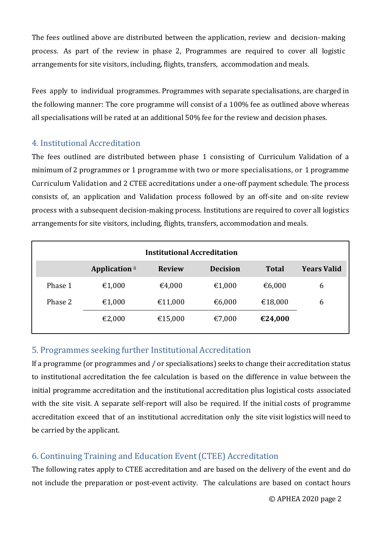The fees outlined above are distributed between the application, review and decision-making process. As part of the review in phase 2, Programmes are required to cover all logistic arrangements for site visitors, including, flights, transfers, accommodation and meals.

Fees apply to individual programmes. Programmes with separate specialisations, are charged in the following manner: The core programme will consist of a 100% fee as outlined above whereas all specialisations will be rated at an additional 50% fee for the review and decision phases.

#### 4. Institutional Accreditation

The fees outlined are distributed between phase 1 consisting of Curriculum Validation of a minimum of 2 programmes or 1 programme with two or more specialisations, or 1 programme Curriculum Validation and 2 CTEE accreditations under a one-off payment schedule. The process consists of, an application and Validation process followed by an off-site and on-site review process with a subsequent decision-making process. Institutions are required to cover all logistics arrangements for site visitors, including, flights, transfers, accommodation and meals.

| <b>Institutional Accreditation</b> |                       |               |                 |              |                    |
|------------------------------------|-----------------------|---------------|-----------------|--------------|--------------------|
|                                    | <b>Application</b> ii | <b>Review</b> | <b>Decision</b> | <b>Total</b> | <b>Years Valid</b> |
| Phase 1                            | €1,000                | €4,000        | €1,000          | €6,000       | 6                  |
| Phase 2                            | €1,000                | €11,000       | €6,000          | €18,000      | 6                  |
|                                    | €2,000                | €15,000       | €7,000          | €24,000      |                    |

## 5. Programmes seeking further Institutional Accreditation

If a programme (or programmes and / or specialisations) seeks to change their accreditation status to institutional accreditation the fee calculation is based on the difference in value between the initial programme accreditation and the institutional accreditation plus logistical costs associated with the site visit. A separate self-report will also be required. If the initial costs of programme accreditation exceed that of an institutional accreditation only the site visit logistics will need to be carried by the applicant.

# 6. Continuing Training and Education Event (CTEE) Accreditation

The following rates apply to CTEE accreditation and are based on the delivery of the event and do not include the preparation or post-event activity. The calculations are based on contact hours